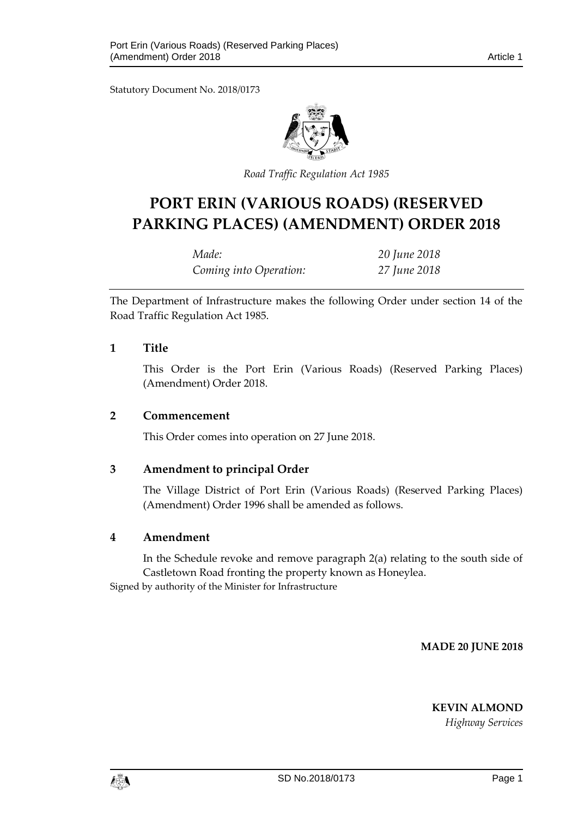Statutory Document No. 2018/0173



*Road Traffic Regulation Act 1985*

# **PORT ERIN (VARIOUS ROADS) (RESERVED PARKING PLACES) (AMENDMENT) ORDER 2018**

| Made:                  | 20 June 2018 |
|------------------------|--------------|
| Coming into Operation: | 27 June 2018 |

The Department of Infrastructure makes the following Order under section 14 of the Road Traffic Regulation Act 1985.

### **1 Title**

This Order is the Port Erin (Various Roads) (Reserved Parking Places) (Amendment) Order 2018.

#### **2 Commencement**

This Order comes into operation on 27 June 2018.

## **3 Amendment to principal Order**

The Village District of Port Erin (Various Roads) (Reserved Parking Places) (Amendment) Order 1996 shall be amended as follows.

## **4 Amendment**

In the Schedule revoke and remove paragraph 2(a) relating to the south side of Castletown Road fronting the property known as Honeylea.

Signed by authority of the Minister for Infrastructure

**MADE 20 JUNE 2018**

**KEVIN ALMOND**

*Highway Services*